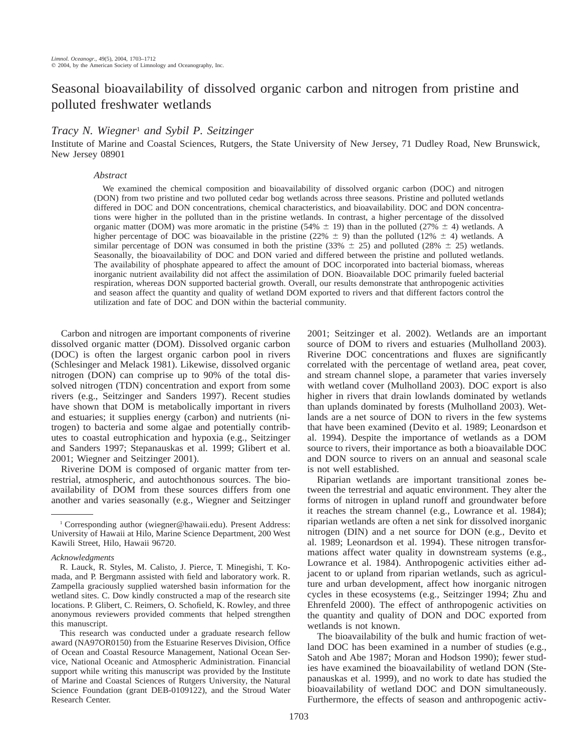# Seasonal bioavailability of dissolved organic carbon and nitrogen from pristine and polluted freshwater wetlands

# *Tracy N. Wiegner*<sup>1</sup> *and Sybil P. Seitzinger*

Institute of Marine and Coastal Sciences, Rutgers, the State University of New Jersey, 71 Dudley Road, New Brunswick, New Jersey 08901

#### *Abstract*

We examined the chemical composition and bioavailability of dissolved organic carbon (DOC) and nitrogen (DON) from two pristine and two polluted cedar bog wetlands across three seasons. Pristine and polluted wetlands differed in DOC and DON concentrations, chemical characteristics, and bioavailability. DOC and DON concentrations were higher in the polluted than in the pristine wetlands. In contrast, a higher percentage of the dissolved organic matter (DOM) was more aromatic in the pristine (54%  $\pm$  19) than in the polluted (27%  $\pm$  4) wetlands. A higher percentage of DOC was bioavailable in the pristine (22%  $\pm$  9) than the polluted (12%  $\pm$  4) wetlands. A similar percentage of DON was consumed in both the pristine (33%  $\pm$  25) and polluted (28%  $\pm$  25) wetlands. Seasonally, the bioavailability of DOC and DON varied and differed between the pristine and polluted wetlands. The availability of phosphate appeared to affect the amount of DOC incorporated into bacterial biomass, whereas inorganic nutrient availability did not affect the assimilation of DON. Bioavailable DOC primarily fueled bacterial respiration, whereas DON supported bacterial growth. Overall, our results demonstrate that anthropogenic activities and season affect the quantity and quality of wetland DOM exported to rivers and that different factors control the utilization and fate of DOC and DON within the bacterial community.

Carbon and nitrogen are important components of riverine dissolved organic matter (DOM). Dissolved organic carbon (DOC) is often the largest organic carbon pool in rivers (Schlesinger and Melack 1981). Likewise, dissolved organic nitrogen (DON) can comprise up to 90% of the total dissolved nitrogen (TDN) concentration and export from some rivers (e.g., Seitzinger and Sanders 1997). Recent studies have shown that DOM is metabolically important in rivers and estuaries; it supplies energy (carbon) and nutrients (nitrogen) to bacteria and some algae and potentially contributes to coastal eutrophication and hypoxia (e.g., Seitzinger and Sanders 1997; Stepanauskas et al. 1999; Glibert et al. 2001; Wiegner and Seitzinger 2001).

Riverine DOM is composed of organic matter from terrestrial, atmospheric, and autochthonous sources. The bioavailability of DOM from these sources differs from one another and varies seasonally (e.g., Wiegner and Seitzinger

This research was conducted under a graduate research fellow award (NA97OR0150) from the Estuarine Reserves Division, Office of Ocean and Coastal Resource Management, National Ocean Service, National Oceanic and Atmospheric Administration. Financial support while writing this manuscript was provided by the Institute of Marine and Coastal Sciences of Rutgers University, the Natural Science Foundation (grant DEB-0109122), and the Stroud Water Research Center.

2001; Seitzinger et al. 2002). Wetlands are an important source of DOM to rivers and estuaries (Mulholland 2003). Riverine DOC concentrations and fluxes are significantly correlated with the percentage of wetland area, peat cover, and stream channel slope, a parameter that varies inversely with wetland cover (Mulholland 2003). DOC export is also higher in rivers that drain lowlands dominated by wetlands than uplands dominated by forests (Mulholland 2003). Wetlands are a net source of DON to rivers in the few systems that have been examined (Devito et al. 1989; Leonardson et al. 1994). Despite the importance of wetlands as a DOM source to rivers, their importance as both a bioavailable DOC and DON source to rivers on an annual and seasonal scale is not well established.

Riparian wetlands are important transitional zones between the terrestrial and aquatic environment. They alter the forms of nitrogen in upland runoff and groundwater before it reaches the stream channel (e.g., Lowrance et al. 1984); riparian wetlands are often a net sink for dissolved inorganic nitrogen (DIN) and a net source for DON (e.g., Devito et al. 1989; Leonardson et al. 1994). These nitrogen transformations affect water quality in downstream systems (e.g., Lowrance et al. 1984). Anthropogenic activities either adjacent to or upland from riparian wetlands, such as agriculture and urban development, affect how inorganic nitrogen cycles in these ecosystems (e.g., Seitzinger 1994; Zhu and Ehrenfeld 2000). The effect of anthropogenic activities on the quantity and quality of DON and DOC exported from wetlands is not known.

The bioavailability of the bulk and humic fraction of wetland DOC has been examined in a number of studies (e.g., Satoh and Abe 1987; Moran and Hodson 1990); fewer studies have examined the bioavailability of wetland DON (Stepanauskas et al. 1999), and no work to date has studied the bioavailability of wetland DOC and DON simultaneously. Furthermore, the effects of season and anthropogenic activ-

<sup>&</sup>lt;sup>1</sup> Corresponding author (wiegner@hawaii.edu). Present Address: University of Hawaii at Hilo, Marine Science Department, 200 West Kawili Street, Hilo, Hawaii 96720.

*Acknowledgments*

R. Lauck, R. Styles, M. Calisto, J. Pierce, T. Minegishi, T. Komada, and P. Bergmann assisted with field and laboratory work. R. Zampella graciously supplied watershed basin information for the wetland sites. C. Dow kindly constructed a map of the research site locations. P. Glibert, C. Reimers, O. Schofield, K. Rowley, and three anonymous reviewers provided comments that helped strengthen this manuscript.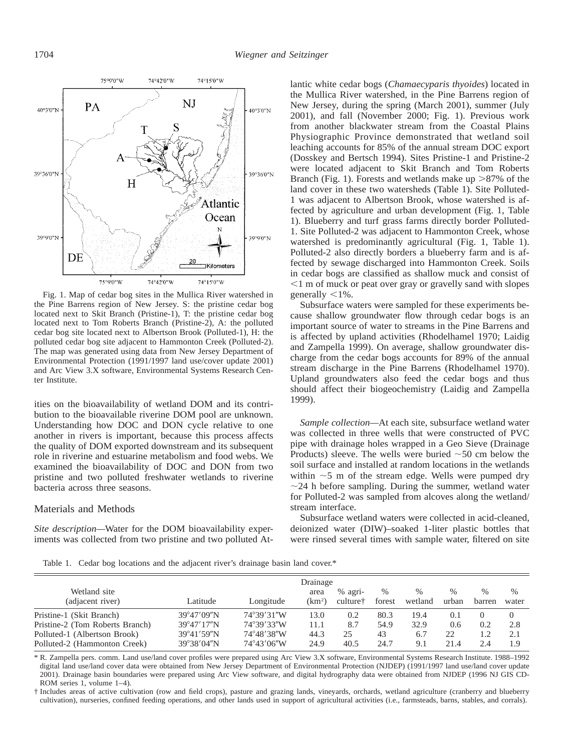

Fig. 1. Map of cedar bog sites in the Mullica River watershed in the Pine Barrens region of New Jersey. S: the pristine cedar bog located next to Skit Branch (Pristine-1), T: the pristine cedar bog located next to Tom Roberts Branch (Pristine-2), A: the polluted cedar bog site located next to Albertson Brook (Polluted-1), H: the polluted cedar bog site adjacent to Hammonton Creek (Polluted-2). The map was generated using data from New Jersey Department of Environmental Protection (1991/1997 land use/cover update 2001) and Arc View 3.X software, Environmental Systems Research Center Institute.

ities on the bioavailability of wetland DOM and its contribution to the bioavailable riverine DOM pool are unknown. Understanding how DOC and DON cycle relative to one another in rivers is important, because this process affects the quality of DOM exported downstream and its subsequent role in riverine and estuarine metabolism and food webs. We examined the bioavailability of DOC and DON from two pristine and two polluted freshwater wetlands to riverine bacteria across three seasons.

#### Materials and Methods

*Site description—*Water for the DOM bioavailability experiments was collected from two pristine and two polluted Atlantic white cedar bogs (*Chamaecyparis thyoides*) located in the Mullica River watershed, in the Pine Barrens region of New Jersey, during the spring (March 2001), summer (July 2001), and fall (November 2000; Fig. 1). Previous work from another blackwater stream from the Coastal Plains Physiographic Province demonstrated that wetland soil leaching accounts for 85% of the annual stream DOC export (Dosskey and Bertsch 1994). Sites Pristine-1 and Pristine-2 were located adjacent to Skit Branch and Tom Roberts Branch (Fig. 1). Forests and wetlands make up  $>87\%$  of the land cover in these two watersheds (Table 1). Site Polluted-1 was adjacent to Albertson Brook, whose watershed is affected by agriculture and urban development (Fig. 1, Table 1). Blueberry and turf grass farms directly border Polluted-1. Site Polluted-2 was adjacent to Hammonton Creek, whose watershed is predominantly agricultural (Fig. 1, Table 1). Polluted-2 also directly borders a blueberry farm and is affected by sewage discharged into Hammonton Creek. Soils in cedar bogs are classified as shallow muck and consist of  $\leq$ 1 m of muck or peat over gray or gravelly sand with slopes generally  $\leq 1\%$ .

Subsurface waters were sampled for these experiments because shallow groundwater flow through cedar bogs is an important source of water to streams in the Pine Barrens and is affected by upland activities (Rhodelhamel 1970; Laidig and Zampella 1999). On average, shallow groundwater discharge from the cedar bogs accounts for 89% of the annual stream discharge in the Pine Barrens (Rhodelhamel 1970). Upland groundwaters also feed the cedar bogs and thus should affect their biogeochemistry (Laidig and Zampella 1999).

*Sample collection—*At each site, subsurface wetland water was collected in three wells that were constructed of PVC pipe with drainage holes wrapped in a Geo Sieve (Drainage Products) sleeve. The wells were buried  $\sim$  50 cm below the soil surface and installed at random locations in the wetlands within  $\sim$  5 m of the stream edge. Wells were pumped dry  $\sim$ 24 h before sampling. During the summer, wetland water for Polluted-2 was sampled from alcoves along the wetland/ stream interface.

Subsurface wetland waters were collected in acid-cleaned, deionized water (DIW)–soaked 1-liter plastic bottles that were rinsed several times with sample water, filtered on site

Table 1. Cedar bog locations and the adjacent river's drainage basin land cover.\*

| Wetland site<br>(adjacent river) | Latitude             | Longitude  | Drainage<br>area<br>(km <sup>2</sup> ) | % agri-<br>culture <sup>†</sup> | $\%$<br>forest | %<br>wetland | %<br>urban | $\%$<br>barren | $\%$<br>water |
|----------------------------------|----------------------|------------|----------------------------------------|---------------------------------|----------------|--------------|------------|----------------|---------------|
| Pristine-1 (Skit Branch)         | 39°47'09"N           | 74°39'31"W | 13.0                                   | 0.2                             | 80.3           | 19.4         | 0.1        | $\Omega$       | $\Omega$      |
| Pristine-2 (Tom Roberts Branch)  | $39^{\circ}47'17''N$ | 74°39'33"W | 11.1                                   | 8.7                             | 54.9           | 32.9         | 0.6        | 0.2            | 2.8           |
| Polluted-1 (Albertson Brook)     | 39°41'59"N           | 74°48′38″W | 44.3                                   | 25                              | 43             | 6.7          | 22         | 1.2            | 2.1           |
| Polluted-2 (Hammonton Creek)     | 39°38'04"N           | 74°43'06"W | 24.9                                   | 40.5                            | 24.7           | 9.1          | 21.4       | 2.4            | 1.9           |

\* R. Zampella pers. comm. Land use/land cover profiles were prepared using Arc View 3.X software, Environmental Systems Research Institute. 1988–1992 digital land use/land cover data were obtained from New Jersey Department of Environmental Protection (NJDEP) (1991/1997 land use/land cover update 2001). Drainage basin boundaries were prepared using Arc View software, and digital hydrography data were obtained from NJDEP (1996 NJ GIS CD-ROM series 1, volume 1–4).

† Includes areas of active cultivation (row and field crops), pasture and grazing lands, vineyards, orchards, wetland agriculture (cranberry and blueberry cultivation), nurseries, confined feeding operations, and other lands used in support of agricultural activities (i.e., farmsteads, barns, stables, and corrals).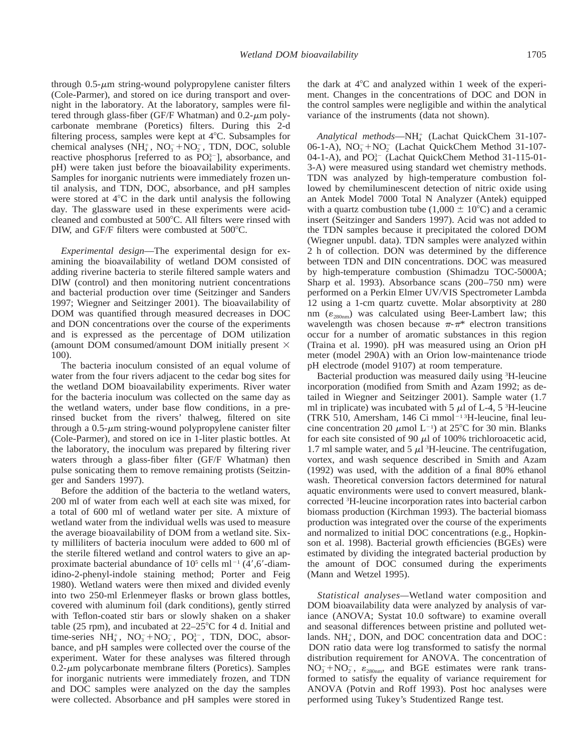through  $0.5$ - $\mu$ m string-wound polypropylene canister filters (Cole-Parmer), and stored on ice during transport and overnight in the laboratory. At the laboratory, samples were filtered through glass-fiber (GF/F Whatman) and  $0.2$ - $\mu$ m polycarbonate membrane (Poretics) filters. During this 2-d filtering process, samples were kept at  $4^{\circ}$ C. Subsamples for chemical analyses  $(NH_4^+$ ,  $NO_3^-+NO_2^-$ , TDN, DOC, soluble reactive phosphorus [referred to as  $PO<sub>4</sub><sup>3–</sup>$ ], absorbance, and pH) were taken just before the bioavailability experiments. Samples for inorganic nutrients were immediately frozen until analysis, and TDN, DOC, absorbance, and pH samples were stored at  $4^{\circ}$ C in the dark until analysis the following day. The glassware used in these experiments were acidcleaned and combusted at 500°C. All filters were rinsed with DIW, and GF/F filters were combusted at  $500^{\circ}$ C.

*Experimental design*—The experimental design for examining the bioavailability of wetland DOM consisted of adding riverine bacteria to sterile filtered sample waters and DIW (control) and then monitoring nutrient concentrations and bacterial production over time (Seitzinger and Sanders 1997; Wiegner and Seitzinger 2001). The bioavailability of DOM was quantified through measured decreases in DOC and DON concentrations over the course of the experiments and is expressed as the percentage of DOM utilization (amount DOM consumed/amount DOM initially present  $\times$ 100).

The bacteria inoculum consisted of an equal volume of water from the four rivers adjacent to the cedar bog sites for the wetland DOM bioavailability experiments. River water for the bacteria inoculum was collected on the same day as the wetland waters, under base flow conditions, in a prerinsed bucket from the rivers' thalweg, filtered on site through a  $0.5$ - $\mu$ m string-wound polypropylene canister filter (Cole-Parmer), and stored on ice in 1-liter plastic bottles. At the laboratory, the inoculum was prepared by filtering river waters through a glass-fiber filter (GF/F Whatman) then pulse sonicating them to remove remaining protists (Seitzinger and Sanders 1997).

Before the addition of the bacteria to the wetland waters, 200 ml of water from each well at each site was mixed, for a total of 600 ml of wetland water per site. A mixture of wetland water from the individual wells was used to measure the average bioavailability of DOM from a wetland site. Sixty milliliters of bacteria inoculum were added to 600 ml of the sterile filtered wetland and control waters to give an approximate bacterial abundance of  $10^5$  cells ml<sup>-1</sup> (4',6'-diamidino-2-phenyl-indole staining method; Porter and Feig 1980). Wetland waters were then mixed and divided evenly into two 250-ml Erlenmeyer flasks or brown glass bottles, covered with aluminum foil (dark conditions), gently stirred with Teflon-coated stir bars or slowly shaken on a shaker table (25 rpm), and incubated at  $22-25^{\circ}$ C for 4 d. Initial and time-series NH<sub>4</sub>, NO<sub>3</sub>+NO<sub>2</sub>, PO<sub>4</sub><sup>2</sup>, TDN, DOC, absorbance, and pH samples were collected over the course of the experiment. Water for these analyses was filtered through  $0.2$ - $\mu$ m polycarbonate membrane filters (Poretics). Samples for inorganic nutrients were immediately frozen, and TDN and DOC samples were analyzed on the day the samples were collected. Absorbance and pH samples were stored in

the dark at  $4^{\circ}$ C and analyzed within 1 week of the experiment. Changes in the concentrations of DOC and DON in the control samples were negligible and within the analytical variance of the instruments (data not shown).

Analytical methods—NH<sup>+</sup> (Lachat QuickChem 31-107-06-1-A),  $NO<sub>3</sub><sup>-</sup>+NO<sub>2</sub><sup>-</sup>$  (Lachat QuickChem Method 31-107-04-1-A), and  $PO<sub>4</sub><sup>3-</sup>$  (Lachat QuickChem Method 31-115-01-3-A) were measured using standard wet chemistry methods. TDN was analyzed by high-temperature combustion followed by chemiluminescent detection of nitric oxide using an Antek Model 7000 Total N Analyzer (Antek) equipped with a quartz combustion tube (1,000  $\pm$  10°C) and a ceramic insert (Seitzinger and Sanders 1997). Acid was not added to the TDN samples because it precipitated the colored DOM (Wiegner unpubl. data). TDN samples were analyzed within 2 h of collection. DON was determined by the difference between TDN and DIN concentrations. DOC was measured by high-temperature combustion (Shimadzu TOC-5000A; Sharp et al. 1993). Absorbance scans (200–750 nm) were performed on a Perkin Elmer UV/VIS Spectrometer Lambda 12 using a 1-cm quartz cuvette. Molar absorptivity at 280 nm  $(\varepsilon_{280nm})$  was calculated using Beer-Lambert law; this wavelength was chosen because  $\pi$ - $\pi$ <sup>\*</sup> electron transitions occur for a number of aromatic substances in this region (Traina et al. 1990). pH was measured using an Orion pH meter (model 290A) with an Orion low-maintenance triode pH electrode (model 9107) at room temperature.

Bacterial production was measured daily using <sup>3</sup>H-leucine incorporation (modified from Smith and Azam 1992; as detailed in Wiegner and Seitzinger 2001). Sample water (1.7 ml in triplicate) was incubated with  $5 \mu$ l of L-4,  $5 \mu$ -leucine (TRK 510, Amersham, 146 Ci mmol<sup> $-1$ 3</sup>H-leucine, final leucine concentration 20  $\mu$ mol L<sup>-1</sup>) at 25°C for 30 min. Blanks for each site consisted of 90  $\mu$ l of 100% trichloroacetic acid, 1.7 ml sample water, and 5  $\mu$ l <sup>3</sup>H-leucine. The centrifugation, vortex, and wash sequence described in Smith and Azam (1992) was used, with the addition of a final 80% ethanol wash. Theoretical conversion factors determined for natural aquatic environments were used to convert measured, blankcorrected <sup>3</sup> H-leucine incorporation rates into bacterial carbon biomass production (Kirchman 1993). The bacterial biomass production was integrated over the course of the experiments and normalized to initial DOC concentrations (e.g., Hopkinson et al. 1998). Bacterial growth efficiencies (BGEs) were estimated by dividing the integrated bacterial production by the amount of DOC consumed during the experiments (Mann and Wetzel 1995).

*Statistical analyses—*Wetland water composition and DOM bioavailability data were analyzed by analysis of variance (ANOVA; Systat 10.0 software) to examine overall and seasonal differences between pristine and polluted wetlands.  $NH_4^+$ , DON, and DOC concentration data and DOC: DON ratio data were log transformed to satisfy the normal distribution requirement for ANOVA. The concentration of  $NO_3^- + NO_2^-$ ,  $\varepsilon_{280nm}$ , and BGE estimates were rank transformed to satisfy the equality of variance requirement for ANOVA (Potvin and Roff 1993). Post hoc analyses were performed using Tukey's Studentized Range test.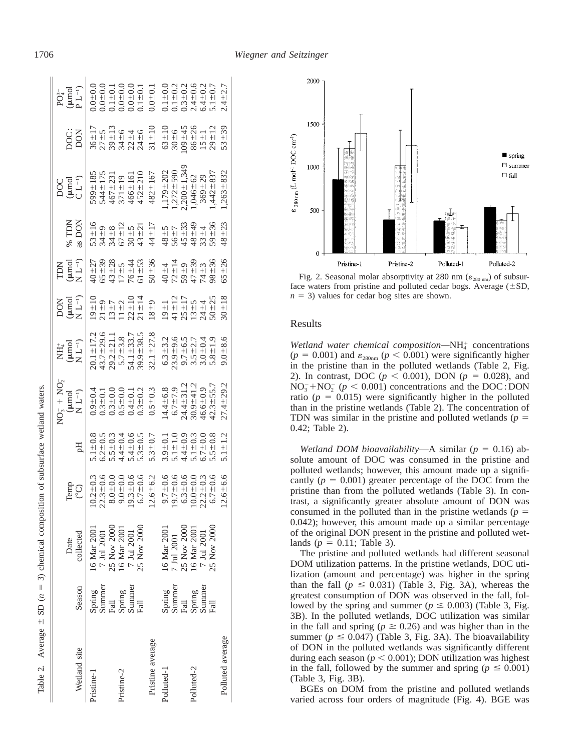|                  |                  |                                                                                                                                                   |                                                                                                                          |                                                                                                                                                                                                                                                                                                               | $NO3 + NO3$                                                                                                                                                                                                                                                                                                         |                                                                                                                                                                   |                                                                                            |                                                                                                                   |                 |                                                                           |                                                                                                               |                                                                                                                                                                                                                                                                   |
|------------------|------------------|---------------------------------------------------------------------------------------------------------------------------------------------------|--------------------------------------------------------------------------------------------------------------------------|---------------------------------------------------------------------------------------------------------------------------------------------------------------------------------------------------------------------------------------------------------------------------------------------------------------|---------------------------------------------------------------------------------------------------------------------------------------------------------------------------------------------------------------------------------------------------------------------------------------------------------------------|-------------------------------------------------------------------------------------------------------------------------------------------------------------------|--------------------------------------------------------------------------------------------|-------------------------------------------------------------------------------------------------------------------|-----------------|---------------------------------------------------------------------------|---------------------------------------------------------------------------------------------------------------|-------------------------------------------------------------------------------------------------------------------------------------------------------------------------------------------------------------------------------------------------------------------|
| Wetland site     | Season           | collected<br>Date                                                                                                                                 | Temp<br>(°C)                                                                                                             | Hq                                                                                                                                                                                                                                                                                                            | (umol<br>$N L^{-1}$                                                                                                                                                                                                                                                                                                 | $\begin{array}{c} \mathrm{NH_4^+} \\ (\mu \mathrm{mol} \\ \mathrm{N}~\mathrm{L}^{-1}) \end{array}$                                                                | $\begin{array}{c} \text{DOM} \\ (\mu \text{mol} \\ \text{N} \; \text{L}^{-1}) \end{array}$ | $\begin{array}{c} \text{TDN} \\ (\mu \text{mol} \\ \text{N} \; \text{L}^{-1}) \end{array}$                        | $\%$ TDN as DON | $DOC$<br>( $\mu$ mol<br>CL <sup>-1</sup> )                                | DOC:<br>DON                                                                                                   | $PQ_{4}^{3-}$<br>( $\mu$ mol<br>P L <sup>-1</sup> )                                                                                                                                                                                                               |
| Pristine-1       | Spring           | 16 Mar 2001                                                                                                                                       | $\begin{array}{c} 10.2 \pm 0.3 \\ 22.3 \pm 0.6 \\ 8.0 \pm 0.0 \\ 9.0 \pm 0.0 \\ 19.3 \pm 0.6 \\ 6.7 \pm 0.6 \end{array}$ |                                                                                                                                                                                                                                                                                                               |                                                                                                                                                                                                                                                                                                                     |                                                                                                                                                                   |                                                                                            |                                                                                                                   |                 | 599±185<br>544±175<br>467±231<br>466±161<br>371±19<br>466±161             |                                                                                                               |                                                                                                                                                                                                                                                                   |
|                  | Summer           |                                                                                                                                                   |                                                                                                                          |                                                                                                                                                                                                                                                                                                               |                                                                                                                                                                                                                                                                                                                     |                                                                                                                                                                   |                                                                                            |                                                                                                                   |                 |                                                                           |                                                                                                               |                                                                                                                                                                                                                                                                   |
|                  | Fall             |                                                                                                                                                   |                                                                                                                          |                                                                                                                                                                                                                                                                                                               |                                                                                                                                                                                                                                                                                                                     |                                                                                                                                                                   |                                                                                            |                                                                                                                   |                 |                                                                           |                                                                                                               |                                                                                                                                                                                                                                                                   |
| Pristine-2       | Spring<br>Summer |                                                                                                                                                   |                                                                                                                          |                                                                                                                                                                                                                                                                                                               |                                                                                                                                                                                                                                                                                                                     |                                                                                                                                                                   |                                                                                            |                                                                                                                   |                 |                                                                           |                                                                                                               |                                                                                                                                                                                                                                                                   |
|                  |                  |                                                                                                                                                   |                                                                                                                          |                                                                                                                                                                                                                                                                                                               |                                                                                                                                                                                                                                                                                                                     |                                                                                                                                                                   |                                                                                            |                                                                                                                   |                 |                                                                           |                                                                                                               |                                                                                                                                                                                                                                                                   |
|                  | Fall             | $\begin{array}{l} 7 \text{ Jul } 2001 \\ 25 \text{ Nov } 2000 \\ 16 \text{ Max } 2001 \\ 7 \text{ Jul } 2001 \\ 25 \text{ Nov } 2000 \end{array}$ |                                                                                                                          | $\begin{array}{c} 5.1 \pm 0.8 \\ 6.2 \pm 0.3 \\ 6.4 \pm 0.04 \\ 7.4 \pm 0.04 \\ 7.4 \pm 0.04 \\ 8.5 \pm 0.04 \\ 9.5 \pm 0.04 \\ 1.5 \pm 0.04 \\ 1.5 \pm 0.04 \\ 1.5 \pm 0.04 \\ 1.5 \pm 0.04 \\ 1.5 \pm 0.04 \\ 1.5 \pm 0.04 \\ 1.5 \pm 0.04 \\ 1.5 \pm 0.04 \\ 1.5 \pm 0.04 \\ 1.5 \pm 0.04 \\ 1.5 \pm 0.04$ |                                                                                                                                                                                                                                                                                                                     |                                                                                                                                                                   |                                                                                            |                                                                                                                   |                 |                                                                           |                                                                                                               | $\begin{array}{l} 0.00000\\ 0.00000\\ 0.00000\\ 0.00000\\ 0.00000\\ 0.0000\\ 0.0000\\ 0.0000\\ 0.0000\\ 0.0000\\ 0.0000\\ 0.0000\\ 0.0000\\ 0.0000\\ 0.0000\\ 0.0000\\ 0.0000\\ 0.0000\\ 0.0000\\ 0.0000\\ 0.0000\\ 0.0000\\ 0.0000\\ 0.0000\\ 0.0000\\ 0.0000\\$ |
| Pristine average |                  |                                                                                                                                                   | $.6 - 6.2$<br>S,                                                                                                         | $5.3 + 0.7$                                                                                                                                                                                                                                                                                                   | $\begin{array}{l} 0.9 \pm 0.1 \\ 0.0 \pm 0.0 \\ 0.3 \pm 0.0 \\ 0.0 \pm 0.0 \\ 0.0 \pm 0.0 \\ 0.0 \pm 0.0 \\ 0.0 \pm 0.0 \\ 0.0 \pm 0.0 \\ 0.0 \pm 0.0 \\ 0.0 \pm 0.0 \\ 0.0 \pm 0.0 \\ 0.0 \pm 0.0 \\ 0.0 \pm 0.0 \\ 0.0 \pm 0.0 \\ 0.0 \pm 0.0 \\ 0.0 \pm 0.0 \\ 0.0 \pm 0.0 \\ 0.0 \pm 0.0 \\ 0.0 \pm 0.0 \\ 0.0$ | $\begin{array}{l} 20.1 \pm 17.2 \\ 43.7 \pm 29.6 \\ 43.7 \pm 21.1 \\ 29.2 \pm 21.1 \\ 5.7 \pm 3.8 \\ 54.1 \pm 33.7 \\ 39.9 \pm 38.5 \\ 32.1 \pm 27.8 \end{array}$ |                                                                                            | $40 + 27$<br>$65 + 11$<br>$76 + 11$<br>$76 + 13$<br>$76 + 13$<br>$76 + 13$<br>$76 + 13$<br>$86 + 13$<br>$76 + 13$ |                 | $482 \pm 167$                                                             |                                                                                                               | $0.0 + 0.1$                                                                                                                                                                                                                                                       |
| Polluted-1       |                  | 16 Mar 2001                                                                                                                                       |                                                                                                                          |                                                                                                                                                                                                                                                                                                               |                                                                                                                                                                                                                                                                                                                     | $\begin{array}{c} 6.3 \pm 3.2 \\ 2.3 \pm 9.5 \\ 2.3 \pm 9.7 \\ 2.5 \pm 6.5 \\ 3.6 \pm 2.7 \\ 4.9 \pm 0.3 \\ 5.6 \pm 0.3 \\ 6.8 \pm 1.9 \\ \end{array}$            |                                                                                            | $40 + 4$<br>$72 + 14$<br>$73 + 14$<br>$4$<br>$4 + 4$<br>$4$<br>$4 + 4$<br>$4$                                     |                 |                                                                           | $\begin{array}{c} 63 \pm 10 \\ 30 \pm 6 \\ 09 \pm 45 \\ 09 \pm 26 \\ 86 \pm 1 \\ 12 \\ 29 \pm 12 \end{array}$ | $\begin{array}{c} 0.1 \pm 0.0 \\ - 1 \pm 0.2 \\ 0.3 \pm 0.3 \\ 0.4 \pm 0.0 \\ 0.4 \pm 0.0 \\ 0.4 \pm 0.7 \\ 0.5 \end{array}$                                                                                                                                      |
|                  | Spring<br>Summer | 7 Jul 2001                                                                                                                                        | $9.7 \pm 0.6$<br>$19.7 \pm 0.6$<br>$6.3 \pm 0.6$<br>$0.0 \pm 0.0$                                                        | $3.9 \pm 0.1$<br>$5.1 \pm 1.0$<br>$5.1 \pm 0.3$<br>$5.1 \pm 0.03$<br>$5.1 \pm 0.03$<br>$5.5 \pm 0.8$                                                                                                                                                                                                          | $\begin{array}{c} 14.4 \pm 6.8 \\ 6.7 \pm 7.9 \\ 24.4 \pm 31.2 \\ 30.9 \pm 41.2 \\ 46.6 \pm 0.9 \\ 46.6 \pm 0.9 \\ 42.3 \pm 55.7 \\ \hline \end{array}$                                                                                                                                                             |                                                                                                                                                                   |                                                                                            |                                                                                                                   |                 | $1,179 \pm 202$<br>$1,272 \pm 590$<br>$2,200 \pm 1,349$<br>$1,046 \pm 62$ |                                                                                                               |                                                                                                                                                                                                                                                                   |
|                  | Fall             |                                                                                                                                                   |                                                                                                                          |                                                                                                                                                                                                                                                                                                               |                                                                                                                                                                                                                                                                                                                     |                                                                                                                                                                   |                                                                                            |                                                                                                                   |                 |                                                                           |                                                                                                               |                                                                                                                                                                                                                                                                   |
| Polluted-2       | Spring<br>Summer | $\begin{array}{c} 25 \ {\rm Nov}\ 2000 \\ 16 \ {\rm Mar}\ 2001 \\ 7 \ {\rm Ju}\ 2001 \\ 25 \ {\rm Nov}\ 2000 \end{array}$                         |                                                                                                                          |                                                                                                                                                                                                                                                                                                               |                                                                                                                                                                                                                                                                                                                     |                                                                                                                                                                   |                                                                                            |                                                                                                                   |                 |                                                                           |                                                                                                               |                                                                                                                                                                                                                                                                   |
|                  |                  |                                                                                                                                                   | $2 \pm 0.3$<br>$-7 \pm 0.6$<br>22.                                                                                       |                                                                                                                                                                                                                                                                                                               |                                                                                                                                                                                                                                                                                                                     |                                                                                                                                                                   |                                                                                            |                                                                                                                   |                 | $369 + 29$                                                                |                                                                                                               |                                                                                                                                                                                                                                                                   |
|                  | Fall             |                                                                                                                                                   |                                                                                                                          |                                                                                                                                                                                                                                                                                                               |                                                                                                                                                                                                                                                                                                                     |                                                                                                                                                                   |                                                                                            |                                                                                                                   |                 | $1,442 \pm 837$                                                           |                                                                                                               |                                                                                                                                                                                                                                                                   |
| Polluted average |                  |                                                                                                                                                   | $6 - 6.6$                                                                                                                | $.1 \pm 1.2$                                                                                                                                                                                                                                                                                                  | $27.4 \pm 29.2$                                                                                                                                                                                                                                                                                                     | $9.0 + 8.6$                                                                                                                                                       |                                                                                            | $65 + 26$                                                                                                         | $48 + 23$       | $.263 \pm 832$                                                            | $53 + 39$                                                                                                     | $2.4 + 2.7$                                                                                                                                                                                                                                                       |
|                  |                  |                                                                                                                                                   |                                                                                                                          |                                                                                                                                                                                                                                                                                                               |                                                                                                                                                                                                                                                                                                                     |                                                                                                                                                                   |                                                                                            |                                                                                                                   |                 |                                                                           |                                                                                                               |                                                                                                                                                                                                                                                                   |



Fig. 2. Seasonal molar absorptivity at 280 nm ( $\varepsilon_{280 \text{ nm}}$ ) of subsurface waters from pristine and polluted cedar bogs. Average  $(\pm SD,$  $n = 3$ ) values for cedar bog sites are shown.

### Results

Wetland water chemical composition-NH<sup>+</sup> concentrations  $(p = 0.001)$  and  $\varepsilon_{280nm}$   $(p < 0.001)$  were significantly higher in the pristine than in the polluted wetlands (Table 2, Fig. 2). In contrast, DOC ( $p < 0.001$ ), DON ( $p = 0.028$ ), and  $NO<sub>3</sub><sup>-</sup> + NO<sub>2</sub><sup>-</sup> (p < 0.001)$  concentrations and the DOC : DON ratio ( $p = 0.015$ ) were significantly higher in the polluted than in the pristine wetlands (Table 2). The concentration of TDN was similar in the pristine and polluted wetlands ( $p =$ 0.42; Table 2).

*Wetland DOM bioavailability*—A similar ( $p = 0.16$ ) absolute amount of DOC was consumed in the pristine and polluted wetlands; however, this amount made up a significantly  $(p = 0.001)$  greater percentage of the DOC from the pristine than from the polluted wetlands (Table 3). In contrast, a significantly greater absolute amount of DON was consumed in the polluted than in the pristine wetlands  $(p =$ 0.042); however, this amount made up a similar percentage of the original DON present in the pristine and polluted wetlands ( $p = 0.11$ ; Table 3).

The pristine and polluted wetlands had different seasonal DOM utilization patterns. In the pristine wetlands, DOC utilization (amount and percentage) was higher in the spring than the fall ( $p \leq 0.031$ ) (Table 3, Fig. 3A), whereas the greatest consumption of DON was observed in the fall, followed by the spring and summer ( $p \le 0.003$ ) (Table 3, Fig. 3B). In the polluted wetlands, DOC utilization was similar in the fall and spring ( $p \ge 0.26$ ) and was higher than in the summer ( $p \leq 0.047$ ) (Table 3, Fig. 3A). The bioavailability of DON in the polluted wetlands was significantly different during each season ( $p < 0.001$ ); DON utilization was highest in the fall, followed by the summer and spring ( $p \le 0.001$ ) (Table 3, Fig. 3B).

BGEs on DOM from the pristine and polluted wetlands varied across four orders of magnitude (Fig. 4). BGE was

Table 2. Average

Table 2. Average  $\pm$  SD (*n* 

 $\pm$  SD ( $n = 3$ ) chemical composition of subsurface wetland waters.

 $=$  3) chemical composition of subsurface wetland waters.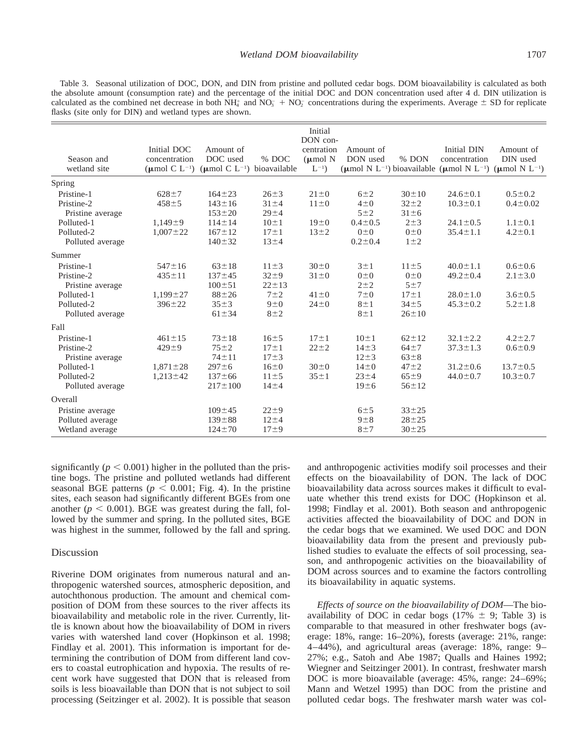Table 3. Seasonal utilization of DOC, DON, and DIN from pristine and polluted cedar bogs. DOM bioavailability is calculated as both the absolute amount (consumption rate) and the percentage of the initial DOC and DON concentration used after 4 d. DIN utilization is calculated as the combined net decrease in both  $NH_4^+$  and  $NO_3^- + NO_2^-$  concentrations during the experiments. Average  $\pm$  SD for replicate flasks (site only for DIN) and wetland types are shown.

|                  |                             |                                              |             | Initial<br>DON con-  |               |             |                                                                                                              |                |
|------------------|-----------------------------|----------------------------------------------|-------------|----------------------|---------------|-------------|--------------------------------------------------------------------------------------------------------------|----------------|
|                  | Initial DOC                 | Amount of                                    |             | centration           | Amount of     |             | Initial DIN                                                                                                  | Amount of      |
| Season and       | concentration               | DOC used                                     | % DOC       | $(\mu \text{mol} N)$ | DON used      | % DON       | concentration                                                                                                | DIN used       |
| wetland site     | $(\mu \text{mol C L}^{-1})$ | ( $\mu$ mol C L <sup>-1</sup> ) bioavailable |             | $L^{-1}$ )           |               |             | ( $\mu$ mol N L <sup>-1</sup> ) bioavailable ( $\mu$ mol N L <sup>-1</sup> ) ( $\mu$ mol N L <sup>-1</sup> ) |                |
| Spring           |                             |                                              |             |                      |               |             |                                                                                                              |                |
| Pristine-1       | $628 + 7$                   | $164 \pm 23$                                 | $26 \pm 3$  | $21 \pm 0$           | $6\pm2$       | $30 \pm 10$ | $24.6 \pm 0.1$                                                                                               | $0.5 \pm 0.2$  |
| Pristine-2       | $458 + 5$                   | $143 \pm 16$                                 | $31 \pm 4$  | $11\pm0$             | $4\pm 0$      | $32 + 2$    | $10.3 \pm 0.1$                                                                                               | $0.4 \pm 0.02$ |
| Pristine average |                             | $153 \pm 20$                                 | $29 + 4$    |                      | $5\pm2$       | $31 \pm 6$  |                                                                                                              |                |
| Polluted-1       | $1,149+9$                   | $114 \pm 14$                                 | $10 \pm 1$  | $19\pm0$             | $0.4 \pm 0.5$ | $2\pm3$     | $24.1 \pm 0.5$                                                                                               | $1.1 \pm 0.1$  |
| Polluted-2       | $1,007 \pm 22$              | $167 \pm 12$                                 | $17 \pm 1$  | $13 + 2$             | $0\pm 0$      | $0\pm 0$    | $35.4 \pm 1.1$                                                                                               | $4.2 \pm 0.1$  |
| Polluted average |                             | $140 \pm 32$                                 | $13 + 4$    |                      | $0.2 \pm 0.4$ | $1\pm2$     |                                                                                                              |                |
| Summer           |                             |                                              |             |                      |               |             |                                                                                                              |                |
| Pristine-1       | $547 \pm 16$                | $63 \pm 18$                                  | $11\pm3$    | $30\pm0$             | $3 \pm 1$     | $11\pm5$    | $40.0 \pm 1.1$                                                                                               | $0.6 \pm 0.6$  |
| Pristine-2       | $435 \pm 11$                | $137 + 45$                                   | $32 + 9$    | $31\pm0$             | $0\pm 0$      | $0\pm 0$    | $49.2 \pm 0.4$                                                                                               | $2.1 \pm 3.0$  |
| Pristine average |                             | $100 \pm 51$                                 | $22 \pm 13$ |                      | $2\pm 2$      | 5±7         |                                                                                                              |                |
| Polluted-1       | $1,199 \pm 27$              | $88 + 26$                                    | $7\pm 2$    | $41\pm0$             | $7\pm0$       | $17 \pm 1$  | $28.0 \pm 1.0$                                                                                               | $3.6 \pm 0.5$  |
| Polluted-2       | $396 \pm 22$                | $35 \pm 3$                                   | $9\pm 0$    | $24 \pm 0$           | $8 \pm 1$     | $34 + 5$    | $45.3 \pm 0.2$                                                                                               | $5.2 \pm 1.8$  |
| Polluted average |                             | $61 \pm 34$                                  | $8\pm2$     |                      | $8 \pm 1$     | $26 \pm 10$ |                                                                                                              |                |
| Fall             |                             |                                              |             |                      |               |             |                                                                                                              |                |
| Pristine-1       | $461 \pm 15$                | $73 \pm 18$                                  | $16 + 5$    | $17 \pm 1$           | $10 \pm 1$    | $62 \pm 12$ | $32.1 \pm 2.2$                                                                                               | $4.2 \pm 2.7$  |
| Pristine-2       | $429 + 9$                   | $75 + 2$                                     | $17 \pm 1$  | $22 + 2$             | $14\pm3$      | $64+7$      | $37.3 \pm 1.3$                                                                                               | $0.6 \pm 0.9$  |
| Pristine average |                             | $74 \pm 11$                                  | $17 + 3$    |                      | $12 \pm 3$    | $63 \pm 8$  |                                                                                                              |                |
| Polluted-1       | $1,871 \pm 28$              | $297 + 6$                                    | $16\pm0$    | $30\pm0$             | $14\pm0$      | $47 + 2$    | $31.2 \pm 0.6$                                                                                               | $13.7 \pm 0.5$ |
| Polluted-2       | $1,213 \pm 42$              | $137 + 66$                                   | $11\pm5$    | $35 \pm 1$           | $23 + 4$      | $65 \pm 9$  | $44.0 \pm 0.7$                                                                                               | $10.3 \pm 0.7$ |
| Polluted average |                             | $217 \pm 100$                                | $14\pm4$    |                      | 19±6          | $56 \pm 12$ |                                                                                                              |                |
| Overall          |                             |                                              |             |                      |               |             |                                                                                                              |                |
| Pristine average |                             | $109 + 45$                                   | $22 \pm 9$  |                      | 6±5           | $33 + 25$   |                                                                                                              |                |
| Polluted average |                             | $139 \pm 88$                                 | $12 + 4$    |                      | $9 \pm 8$     | $28 + 25$   |                                                                                                              |                |
| Wetland average  |                             | $124 \pm 70$                                 | $17\pm9$    |                      | 8±7           | $30 + 25$   |                                                                                                              |                |

significantly ( $p < 0.001$ ) higher in the polluted than the pristine bogs. The pristine and polluted wetlands had different seasonal BGE patterns ( $p < 0.001$ ; Fig. 4). In the pristine sites, each season had significantly different BGEs from one another ( $p < 0.001$ ). BGE was greatest during the fall, followed by the summer and spring. In the polluted sites, BGE was highest in the summer, followed by the fall and spring.

## Discussion

Riverine DOM originates from numerous natural and anthropogenic watershed sources, atmospheric deposition, and autochthonous production. The amount and chemical composition of DOM from these sources to the river affects its bioavailability and metabolic role in the river. Currently, little is known about how the bioavailability of DOM in rivers varies with watershed land cover (Hopkinson et al. 1998; Findlay et al. 2001). This information is important for determining the contribution of DOM from different land covers to coastal eutrophication and hypoxia. The results of recent work have suggested that DON that is released from soils is less bioavailable than DON that is not subject to soil processing (Seitzinger et al. 2002). It is possible that season

and anthropogenic activities modify soil processes and their effects on the bioavailability of DON. The lack of DOC bioavailability data across sources makes it difficult to evaluate whether this trend exists for DOC (Hopkinson et al. 1998; Findlay et al. 2001). Both season and anthropogenic activities affected the bioavailability of DOC and DON in the cedar bogs that we examined. We used DOC and DON bioavailability data from the present and previously published studies to evaluate the effects of soil processing, season, and anthropogenic activities on the bioavailability of DOM across sources and to examine the factors controlling its bioavailability in aquatic systems.

*Effects of source on the bioavailability of DOM*—The bioavailability of DOC in cedar bogs (17%  $\pm$  9; Table 3) is comparable to that measured in other freshwater bogs (average: 18%, range: 16–20%), forests (average: 21%, range: 4–44%), and agricultural areas (average: 18%, range: 9– 27%; e.g., Satoh and Abe 1987; Qualls and Haines 1992; Wiegner and Seitzinger 2001). In contrast, freshwater marsh DOC is more bioavailable (average: 45%, range: 24–69%; Mann and Wetzel 1995) than DOC from the pristine and polluted cedar bogs. The freshwater marsh water was col-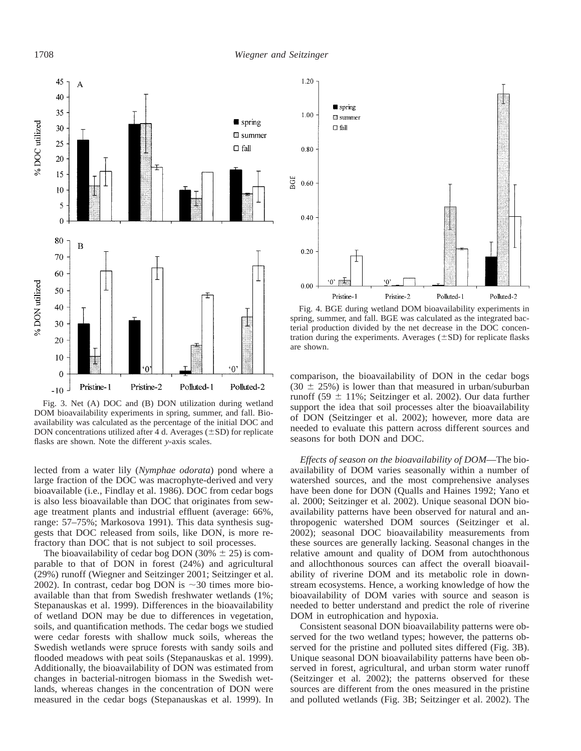

Fig. 3. Net (A) DOC and (B) DON utilization during wetland DOM bioavailability experiments in spring, summer, and fall. Bioavailability was calculated as the percentage of the initial DOC and DON concentrations utilized after 4 d. Averages  $(\pm SD)$  for replicate flasks are shown. Note the different *y*-axis scales.

lected from a water lily (*Nymphae odorata*) pond where a large fraction of the DOC was macrophyte-derived and very bioavailable (i.e., Findlay et al. 1986). DOC from cedar bogs is also less bioavailable than DOC that originates from sewage treatment plants and industrial effluent (average: 66%, range: 57–75%; Markosova 1991). This data synthesis suggests that DOC released from soils, like DON, is more refractory than DOC that is not subject to soil processes.

The bioavailability of cedar bog DON (30%  $\pm$  25) is comparable to that of DON in forest (24%) and agricultural (29%) runoff (Wiegner and Seitzinger 2001; Seitzinger et al. 2002). In contrast, cedar bog DON is  $\sim$ 30 times more bioavailable than that from Swedish freshwater wetlands (1%; Stepanauskas et al. 1999). Differences in the bioavailability of wetland DON may be due to differences in vegetation, soils, and quantification methods. The cedar bogs we studied were cedar forests with shallow muck soils, whereas the Swedish wetlands were spruce forests with sandy soils and flooded meadows with peat soils (Stepanauskas et al. 1999). Additionally, the bioavailability of DON was estimated from changes in bacterial-nitrogen biomass in the Swedish wetlands, whereas changes in the concentration of DON were measured in the cedar bogs (Stepanauskas et al. 1999). In



Fig. 4. BGE during wetland DOM bioavailability experiments in spring, summer, and fall. BGE was calculated as the integrated bacterial production divided by the net decrease in the DOC concentration during the experiments. Averages  $(\pm SD)$  for replicate flasks are shown.

comparison, the bioavailability of DON in the cedar bogs  $(30 \pm 25\%)$  is lower than that measured in urban/suburban runoff (59  $\pm$  11%; Seitzinger et al. 2002). Our data further support the idea that soil processes alter the bioavailability of DON (Seitzinger et al. 2002); however, more data are needed to evaluate this pattern across different sources and seasons for both DON and DOC.

*Effects of season on the bioavailability of DOM*—The bioavailability of DOM varies seasonally within a number of watershed sources, and the most comprehensive analyses have been done for DON (Qualls and Haines 1992; Yano et al. 2000; Seitzinger et al. 2002). Unique seasonal DON bioavailability patterns have been observed for natural and anthropogenic watershed DOM sources (Seitzinger et al. 2002); seasonal DOC bioavailability measurements from these sources are generally lacking. Seasonal changes in the relative amount and quality of DOM from autochthonous and allochthonous sources can affect the overall bioavailability of riverine DOM and its metabolic role in downstream ecosystems. Hence, a working knowledge of how the bioavailability of DOM varies with source and season is needed to better understand and predict the role of riverine DOM in eutrophication and hypoxia.

Consistent seasonal DON bioavailability patterns were observed for the two wetland types; however, the patterns observed for the pristine and polluted sites differed (Fig. 3B). Unique seasonal DON bioavailability patterns have been observed in forest, agricultural, and urban storm water runoff (Seitzinger et al. 2002); the patterns observed for these sources are different from the ones measured in the pristine and polluted wetlands (Fig. 3B; Seitzinger et al. 2002). The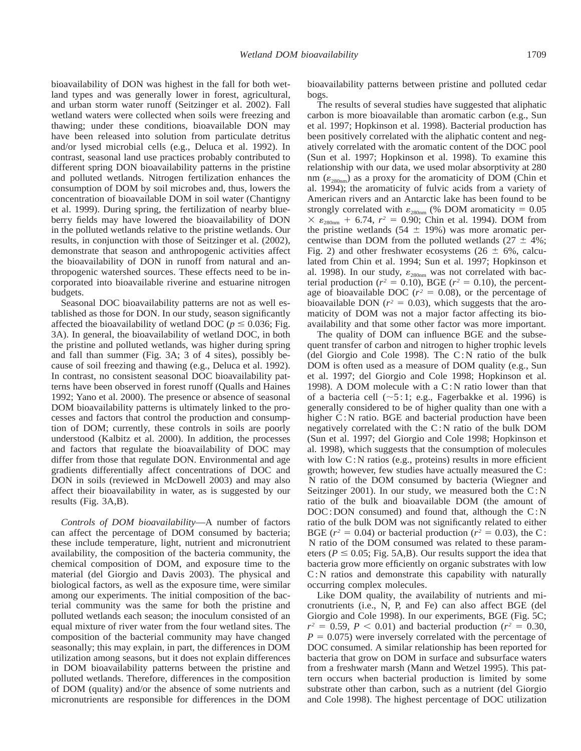bioavailability of DON was highest in the fall for both wetland types and was generally lower in forest, agricultural, and urban storm water runoff (Seitzinger et al. 2002). Fall wetland waters were collected when soils were freezing and thawing; under these conditions, bioavailable DON may have been released into solution from particulate detritus and/or lysed microbial cells (e.g., Deluca et al. 1992). In contrast, seasonal land use practices probably contributed to different spring DON bioavailability patterns in the pristine and polluted wetlands. Nitrogen fertilization enhances the consumption of DOM by soil microbes and, thus, lowers the concentration of bioavailable DOM in soil water (Chantigny et al. 1999). During spring, the fertilization of nearby blueberry fields may have lowered the bioavailability of DON in the polluted wetlands relative to the pristine wetlands. Our results, in conjunction with those of Seitzinger et al. (2002), demonstrate that season and anthropogenic activities affect the bioavailability of DON in runoff from natural and anthropogenic watershed sources. These effects need to be incorporated into bioavailable riverine and estuarine nitrogen budgets.

Seasonal DOC bioavailability patterns are not as well established as those for DON. In our study, season significantly affected the bioavailability of wetland DOC ( $p \le 0.036$ ; Fig. 3A). In general, the bioavailability of wetland DOC, in both the pristine and polluted wetlands, was higher during spring and fall than summer (Fig. 3A; 3 of 4 sites), possibly because of soil freezing and thawing (e.g., Deluca et al. 1992). In contrast, no consistent seasonal DOC bioavailability patterns have been observed in forest runoff (Qualls and Haines 1992; Yano et al. 2000). The presence or absence of seasonal DOM bioavailability patterns is ultimately linked to the processes and factors that control the production and consumption of DOM; currently, these controls in soils are poorly understood (Kalbitz et al. 2000). In addition, the processes and factors that regulate the bioavailability of DOC may differ from those that regulate DON. Environmental and age gradients differentially affect concentrations of DOC and DON in soils (reviewed in McDowell 2003) and may also affect their bioavailability in water, as is suggested by our results (Fig. 3A,B).

*Controls of DOM bioavailability*—A number of factors can affect the percentage of DOM consumed by bacteria; these include temperature, light, nutrient and micronutrient availability, the composition of the bacteria community, the chemical composition of DOM, and exposure time to the material (del Giorgio and Davis 2003). The physical and biological factors, as well as the exposure time, were similar among our experiments. The initial composition of the bacterial community was the same for both the pristine and polluted wetlands each season; the inoculum consisted of an equal mixture of river water from the four wetland sites. The composition of the bacterial community may have changed seasonally; this may explain, in part, the differences in DOM utilization among seasons, but it does not explain differences in DOM bioavailability patterns between the pristine and polluted wetlands. Therefore, differences in the composition of DOM (quality) and/or the absence of some nutrients and micronutrients are responsible for differences in the DOM

bioavailability patterns between pristine and polluted cedar bogs.

The results of several studies have suggested that aliphatic carbon is more bioavailable than aromatic carbon (e.g., Sun et al. 1997; Hopkinson et al. 1998). Bacterial production has been positively correlated with the aliphatic content and negatively correlated with the aromatic content of the DOC pool (Sun et al. 1997; Hopkinson et al. 1998). To examine this relationship with our data, we used molar absorptivity at 280 nm ( $\varepsilon_{280nm}$ ) as a proxy for the aromaticity of DOM (Chin et al. 1994); the aromaticity of fulvic acids from a variety of American rivers and an Antarctic lake has been found to be strongly correlated with  $\varepsilon_{280nm}$  (% DOM aromaticity = 0.05  $\times \varepsilon_{280nm}$  + 6.74,  $r^2 = 0.90$ ; Chin et al. 1994). DOM from the pristine wetlands (54  $\pm$  19%) was more aromatic percentwise than DOM from the polluted wetlands ( $27 \pm 4\%$ ; Fig. 2) and other freshwater ecosystems (26  $\pm$  6%, calculated from Chin et al. 1994; Sun et al. 1997; Hopkinson et al. 1998). In our study,  $\varepsilon_{280nm}$  was not correlated with bacterial production ( $r^2 = 0.10$ ), BGE ( $r^2 = 0.10$ ), the percentage of bioavailable DOC ( $r^2 = 0.08$ ), or the percentage of bioavailable DON ( $r^2 = 0.03$ ), which suggests that the aromaticity of DOM was not a major factor affecting its bioavailability and that some other factor was more important.

The quality of DOM can influence BGE and the subsequent transfer of carbon and nitrogen to higher trophic levels (del Giorgio and Cole 1998). The C : N ratio of the bulk DOM is often used as a measure of DOM quality (e.g., Sun et al. 1997; del Giorgio and Cole 1998; Hopkinson et al. 1998). A DOM molecule with a C : N ratio lower than that of a bacteria cell ( $\sim$ 5:1; e.g., Fagerbakke et al. 1996) is generally considered to be of higher quality than one with a higher C: N ratio. BGE and bacterial production have been negatively correlated with the C : N ratio of the bulk DOM (Sun et al. 1997; del Giorgio and Cole 1998; Hopkinson et al. 1998), which suggests that the consumption of molecules with low  $C$ : N ratios (e.g., proteins) results in more efficient growth; however, few studies have actually measured the C : N ratio of the DOM consumed by bacteria (Wiegner and Seitzinger 2001). In our study, we measured both the  $C: N$ ratio of the bulk and bioavailable DOM (the amount of DOC: DON consumed) and found that, although the C: N ratio of the bulk DOM was not significantly related to either BGE ( $r^2 = 0.04$ ) or bacterial production ( $r^2 = 0.03$ ), the C: N ratio of the DOM consumed was related to these parameters ( $P \le 0.05$ ; Fig. 5A,B). Our results support the idea that bacteria grow more efficiently on organic substrates with low C: N ratios and demonstrate this capability with naturally occurring complex molecules.

Like DOM quality, the availability of nutrients and micronutrients (i.e., N, P, and Fe) can also affect BGE (del Giorgio and Cole 1998). In our experiments, BGE (Fig. 5C;  $r^2 = 0.59$ ,  $P < 0.01$ ) and bacterial production ( $r^2 = 0.30$ ,  $P = 0.075$ ) were inversely correlated with the percentage of DOC consumed. A similar relationship has been reported for bacteria that grow on DOM in surface and subsurface waters from a freshwater marsh (Mann and Wetzel 1995). This pattern occurs when bacterial production is limited by some substrate other than carbon, such as a nutrient (del Giorgio and Cole 1998). The highest percentage of DOC utilization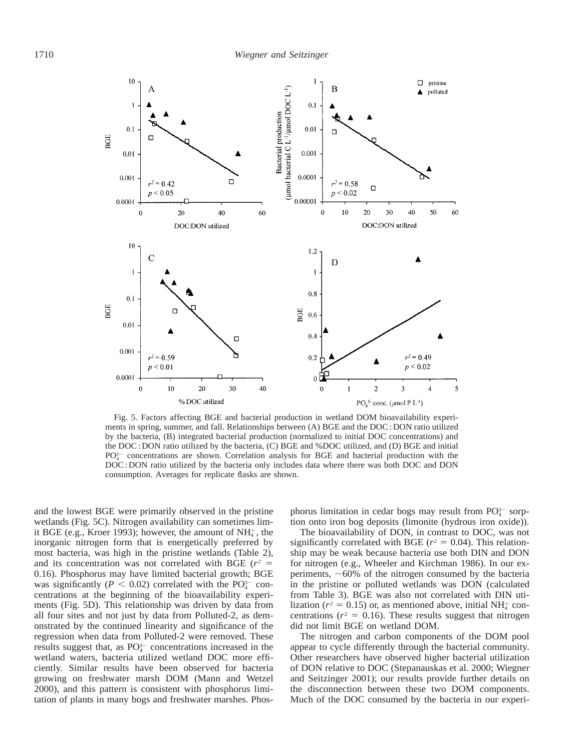

Fig. 5. Factors affecting BGE and bacterial production in wetland DOM bioavailability experiments in spring, summer, and fall. Relationships between (A) BGE and the DOC : DON ratio utilized by the bacteria, (B) integrated bacterial production (normalized to initial DOC concentrations) and the DOC : DON ratio utilized by the bacteria, (C) BGE and %DOC utilized, and (D) BGE and initial  $PO<sub>4</sub><sup>3</sup>$  concentrations are shown. Correlation analysis for BGE and bacterial production with the DOC : DON ratio utilized by the bacteria only includes data where there was both DOC and DON consumption. Averages for replicate flasks are shown.

and the lowest BGE were primarily observed in the pristine wetlands (Fig. 5C). Nitrogen availability can sometimes limit BGE (e.g., Kroer 1993); however, the amount of  $NH<sub>4</sub><sup>+</sup>$ , the inorganic nitrogen form that is energetically preferred by most bacteria, was high in the pristine wetlands (Table 2), and its concentration was not correlated with BGE ( $r^2$  = 0.16). Phosphorus may have limited bacterial growth; BGE was significantly ( $P < 0.02$ ) correlated with the PO<sub>4</sub><sup>-</sup> concentrations at the beginning of the bioavailability experiments (Fig. 5D). This relationship was driven by data from all four sites and not just by data from Polluted-2, as demonstrated by the continued linearity and significance of the regression when data from Polluted-2 were removed. These results suggest that, as  $PO_4^{3-}$  concentrations increased in the wetland waters, bacteria utilized wetland DOC more efficiently. Similar results have been observed for bacteria growing on freshwater marsh DOM (Mann and Wetzel 2000), and this pattern is consistent with phosphorus limitation of plants in many bogs and freshwater marshes. Phos-

phorus limitation in cedar bogs may result from  $PO_4^{3-}$  sorption onto iron bog deposits (limonite (hydrous iron oxide)).

The bioavailability of DON, in contrast to DOC, was not significantly correlated with BGE ( $r^2 = 0.04$ ). This relationship may be weak because bacteria use both DIN and DON for nitrogen (e.g., Wheeler and Kirchman 1986). In our experiments,  $~60\%$  of the nitrogen consumed by the bacteria in the pristine or polluted wetlands was DON (calculated from Table 3). BGE was also not correlated with DIN utilization ( $r^2 = 0.15$ ) or, as mentioned above, initial NH<sub>4</sub><sup>+</sup> concentrations ( $r^2 = 0.16$ ). These results suggest that nitrogen did not limit BGE on wetland DOM.

The nitrogen and carbon components of the DOM pool appear to cycle differently through the bacterial community. Other researchers have observed higher bacterial utilization of DON relative to DOC (Stepanauskas et al. 2000; Wiegner and Seitzinger 2001); our results provide further details on the disconnection between these two DOM components. Much of the DOC consumed by the bacteria in our experi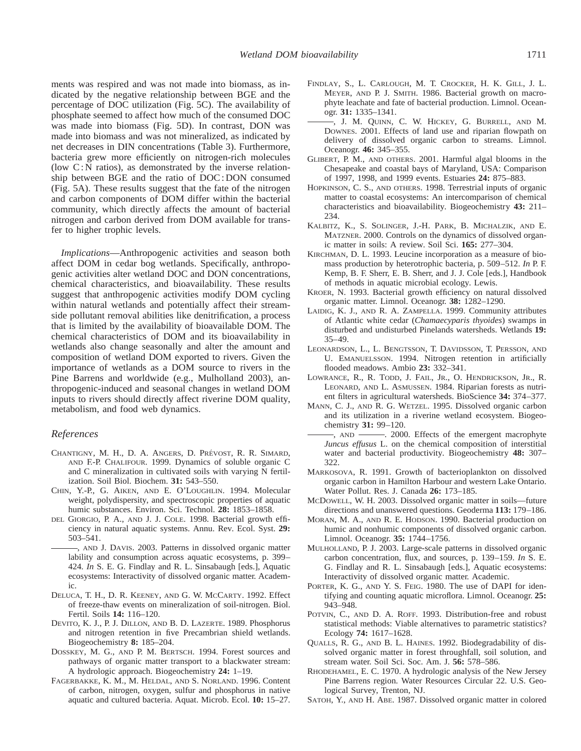ments was respired and was not made into biomass, as indicated by the negative relationship between BGE and the percentage of DOC utilization (Fig. 5C). The availability of phosphate seemed to affect how much of the consumed DOC was made into biomass (Fig. 5D). In contrast, DON was made into biomass and was not mineralized, as indicated by net decreases in DIN concentrations (Table 3). Furthermore, bacteria grew more efficiently on nitrogen-rich molecules (low  $C: N$  ratios), as demonstrated by the inverse relationship between BGE and the ratio of DOC : DON consumed (Fig. 5A). These results suggest that the fate of the nitrogen and carbon components of DOM differ within the bacterial community, which directly affects the amount of bacterial nitrogen and carbon derived from DOM available for transfer to higher trophic levels.

*Implications*—Anthropogenic activities and season both affect DOM in cedar bog wetlands. Specifically, anthropogenic activities alter wetland DOC and DON concentrations, chemical characteristics, and bioavailability. These results suggest that anthropogenic activities modify DOM cycling within natural wetlands and potentially affect their streamside pollutant removal abilities like denitrification, a process that is limited by the availability of bioavailable DOM. The chemical characteristics of DOM and its bioavailability in wetlands also change seasonally and alter the amount and composition of wetland DOM exported to rivers. Given the importance of wetlands as a DOM source to rivers in the Pine Barrens and worldwide (e.g., Mulholland 2003), anthropogenic-induced and seasonal changes in wetland DOM inputs to rivers should directly affect riverine DOM quality, metabolism, and food web dynamics.

#### *References*

- CHANTIGNY, M. H., D. A. ANGERS, D. PRÉVOST, R. R. SIMARD, AND F.-P. CHALIFOUR. 1999. Dynamics of soluble organic C and C mineralization in cultivated soils with varying N fertilization. Soil Biol. Biochem. **31:** 543–550.
- CHIN, Y.-P., G. AIKEN, AND E. O'LOUGHLIN. 1994. Molecular weight, polydispersity, and spectroscopic properties of aquatic humic substances. Environ. Sci. Technol. **28:** 1853–1858.
- DEL GIORGIO, P. A., AND J. J. COLE. 1998. Bacterial growth efficiency in natural aquatic systems. Annu. Rev. Ecol. Syst. **29:** 503–541.
- , AND J. DAVIS. 2003. Patterns in dissolved organic matter lability and consumption across aquatic ecosystems, p. 399– 424. *In* S. E. G. Findlay and R. L. Sinsabaugh [eds.], Aquatic ecosystems: Interactivity of dissolved organic matter. Academic.
- DELUCA, T. H., D. R. KEENEY, AND G. W. MCCARTY. 1992. Effect of freeze-thaw events on mineralization of soil-nitrogen. Biol. Fertil. Soils **14:** 116–120.
- DEVITO, K. J., P. J. DILLON, AND B. D. LAZERTE. 1989. Phosphorus and nitrogen retention in five Precambrian shield wetlands. Biogeochemistry **8:** 185–204.
- DOSSKEY, M. G., AND P. M. BERTSCH. 1994. Forest sources and pathways of organic matter transport to a blackwater stream: A hydrologic approach. Biogeochemistry **24:** 1–19.
- FAGERBAKKE, K. M., M. HELDAL, AND S. NORLAND. 1996. Content of carbon, nitrogen, oxygen, sulfur and phosphorus in native aquatic and cultured bacteria. Aquat. Microb. Ecol. **10:** 15–27.
- [FINDLAY, S., L. CARLOUGH, M. T. CROCKER, H. K. GILL, J. L.](http://www.aslo.org/lo/pdf/vol_31/issue_6/1335.pdf) MEYER, AND P. J. SMITH. 1986. Bacterial growth on macrophyte leachate and fate of bacterial production. Limnol. Oceanogr. **31:** 1335–1341.
- , J. M. QUINN, C. W. HICKEY, G. BURRELL, AND M. DOWNES. 2001. Effects of land use and riparian flowpath on [delivery of dissolved organic carbon to streams. Limnol.](http://www.aslo.org/lo/pdf/vol_46/issue_2/0345.pdf) Oceanogr. **46:** 345–355.
- GLIBERT, P. M., AND OTHERS. 2001. Harmful algal blooms in the Chesapeake and coastal bays of Maryland, USA: Comparison of 1997, 1998, and 1999 events. Estuaries **24:** 875–883.
- HOPKINSON, C. S., AND OTHERS. 1998. Terrestrial inputs of organic matter to coastal ecosystems: An intercomparison of chemical characteristics and bioavailability. Biogeochemistry **43:** 211– 234.
- KALBITZ, K., S. SOLINGER, J.-H. PARK, B. MICHALZIK, AND E. MATZNER. 2000. Controls on the dynamics of dissolved organic matter in soils: A review. Soil Sci. **165:** 277–304.
- KIRCHMAN, D. L. 1993. Leucine incorporation as a measure of biomass production by heterotrophic bacteria, p. 509–512. *In* P. F. Kemp, B. F. Sherr, E. B. Sherr, and J. J. Cole [eds.], Handbook of methods in aquatic microbial ecology. Lewis.
- [KROER, N. 1993. Bacterial growth efficiency on natural dissolved](http://www.aslo.org/lo/pdf/vol_38/issue_6/1282.pdf) organic matter. Limnol. Oceanogr. **38:** 1282–1290.
- LAIDIG, K. J., AND R. A. ZAMPELLA. 1999. Community attributes of Atlantic white cedar (*Chamaecyparis thyoides*) swamps in disturbed and undisturbed Pinelands watersheds. Wetlands **19:** 35–49.
- LEONARDSON, L., L. BENGTSSON, T. DAVIDSSON, T. PERSSON, AND U. EMANUELSSON. 1994. Nitrogen retention in artificially flooded meadows. Ambio **23:** 332–341.
- LOWRANCE, R., R. TODD, J. FAIL, JR., O. HENDRICKSON, JR., R. LEONARD, AND L. ASMUSSEN. 1984. Riparian forests as nutrient filters in agricultural watersheds. BioScience **34:** 374–377.
- MANN, C. J., AND R. G. WETZEL. 1995. Dissolved organic carbon and its utilization in a riverine wetland ecosystem. Biogeochemistry **31:** 99–120.
- $-$ , AND  $-$  2000. Effects of the emergent macrophyte *Juncus effusus* L. on the chemical composition of interstitial water and bacterial productivity. Biogeochemistry **48:** 307– 322.
- MARKOSOVA, R. 1991. Growth of bacterioplankton on dissolved organic carbon in Hamilton Harbour and western Lake Ontario. Water Pollut. Res. J. Canada **26:** 173–185.
- MCDOWELL, W. H. 2003. Dissolved organic matter in soils—future directions and unanswered questions. Geoderma **113:** 179–186.
- MORAN, M. A., AND R. E. HODSON. 1990. Bacterial production on [humic and nonhumic components of dissolved organic carbon.](http://www.aslo.org/lo/pdf/vol_35/issue_8/1744.pdf) Limnol. Oceanogr. **35:** 1744–1756.
- MULHOLLAND, P. J. 2003. Large-scale patterns in dissolved organic carbon concentration, flux, and sources, p. 139–159. *In* S. E. G. Findlay and R. L. Sinsabaugh [eds.], Aquatic ecosystems: Interactivity of dissolved organic matter. Academic.
- PORTER, K. G., AND Y. S. FEIG. 1980. The use of DAPI for iden[tifying and counting aquatic microflora. Limnol. Oceanogr.](http://www.aslo.org/lo/pdf/vol_25/issue_5/0943.pdf) **25:** 943–948.
- POTVIN, C., AND D. A. ROFF. 1993. Distribution-free and robust statistical methods: Viable alternatives to parametric statistics? Ecology **74:** 1617–1628.
- QUALLS, R. G., AND B. L. HAINES. 1992. Biodegradability of dissolved organic matter in forest throughfall, soil solution, and stream water. Soil Sci. Soc. Am. J. **56:** 578–586.
- RHODEHAMEL, E. C. 1970. A hydrologic analysis of the New Jersey Pine Barrens region. Water Resources Circular 22. U.S. Geological Survey, Trenton, NJ.
- SATOH, Y., AND H. ABE. 1987. Dissolved organic matter in colored